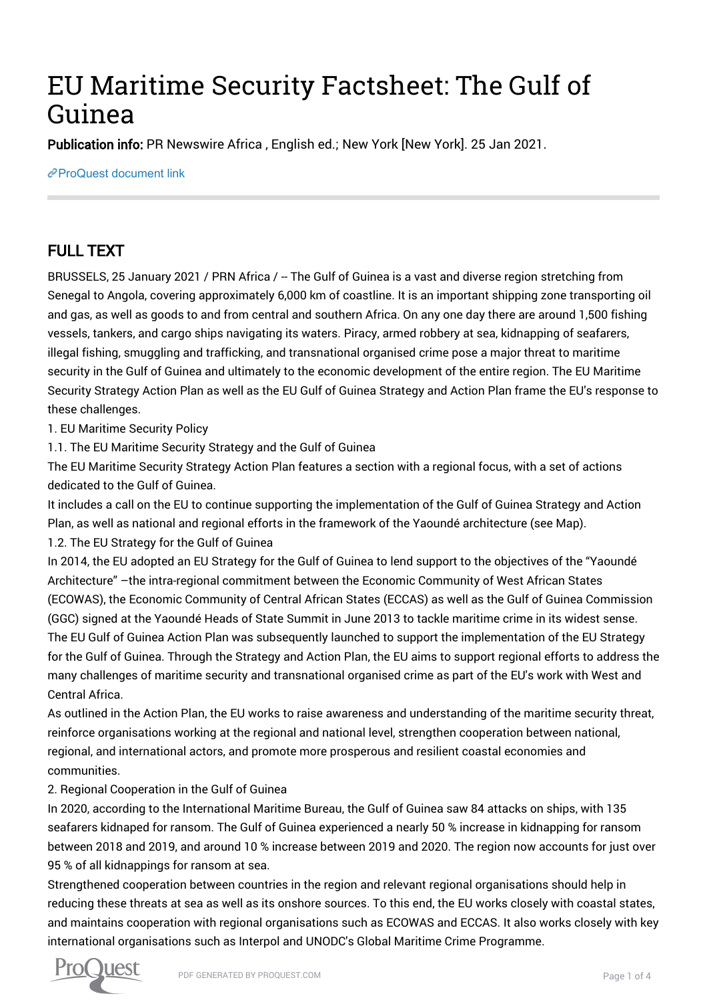# EU Maritime Security Factsheet: The Gulf of Guinea

Publication info: PR Newswire Africa , English ed.; New York [New York]. 25 Jan 2021.

[ProQuest document link](http://132.174.250.227/wire-feeds/eu-maritime-security-factsheet-gulf-guinea/docview/2480419936/se-2?accountid=8394)

## FULL TEXT

BRUSSELS, 25 January 2021 / PRN Africa / -- The Gulf of Guinea is a vast and diverse region stretching from Senegal to Angola, covering approximately 6,000 km of coastline. It is an important shipping zone transporting oil and gas, as well as goods to and from central and southern Africa. On any one day there are around 1,500 fishing vessels, tankers, and cargo ships navigating its waters. Piracy, armed robbery at sea, kidnapping of seafarers, illegal fishing, smuggling and trafficking, and transnational organised crime pose a major threat to maritime security in the Gulf of Guinea and ultimately to the economic development of the entire region. The EU Maritime Security Strategy Action Plan as well as the EU Gulf of Guinea Strategy and Action Plan frame the EU's response to these challenges.

1. EU Maritime Security Policy

1.1. The EU Maritime Security Strategy and the Gulf of Guinea

The EU Maritime Security Strategy Action Plan features a section with a regional focus, with a set of actions dedicated to the Gulf of Guinea.

It includes a call on the EU to continue supporting the implementation of the Gulf of Guinea Strategy and Action Plan, as well as national and regional efforts in the framework of the Yaoundé architecture (see Map).

1.2. The EU Strategy for the Gulf of Guinea

In 2014, the EU adopted an EU Strategy for the Gulf of Guinea to lend support to the objectives of the "Yaoundé Architecture" –the intra-regional commitment between the Economic Community of West African States (ECOWAS), the Economic Community of Central African States (ECCAS) as well as the Gulf of Guinea Commission (GGC) signed at the Yaoundé Heads of State Summit in June 2013 to tackle maritime crime in its widest sense. The EU Gulf of Guinea Action Plan was subsequently launched to support the implementation of the EU Strategy for the Gulf of Guinea. Through the Strategy and Action Plan, the EU aims to support regional efforts to address the many challenges of maritime security and transnational organised crime as part of the EU's work with West and Central Africa.

As outlined in the Action Plan, the EU works to raise awareness and understanding of the maritime security threat, reinforce organisations working at the regional and national level, strengthen cooperation between national, regional, and international actors, and promote more prosperous and resilient coastal economies and communities.

#### 2. Regional Cooperation in the Gulf of Guinea

In 2020, according to the International Maritime Bureau, the Gulf of Guinea saw 84 attacks on ships, with 135 seafarers kidnaped for ransom. The Gulf of Guinea experienced a nearly 50 % increase in kidnapping for ransom between 2018 and 2019, and around 10 % increase between 2019 and 2020. The region now accounts for just over 95 % of all kidnappings for ransom at sea.

Strengthened cooperation between countries in the region and relevant regional organisations should help in reducing these threats at sea as well as its onshore sources. To this end, the EU works closely with coastal states, and maintains cooperation with regional organisations such as ECOWAS and ECCAS. It also works closely with key international organisations such as Interpol and UNODC's Global Maritime Crime Programme.

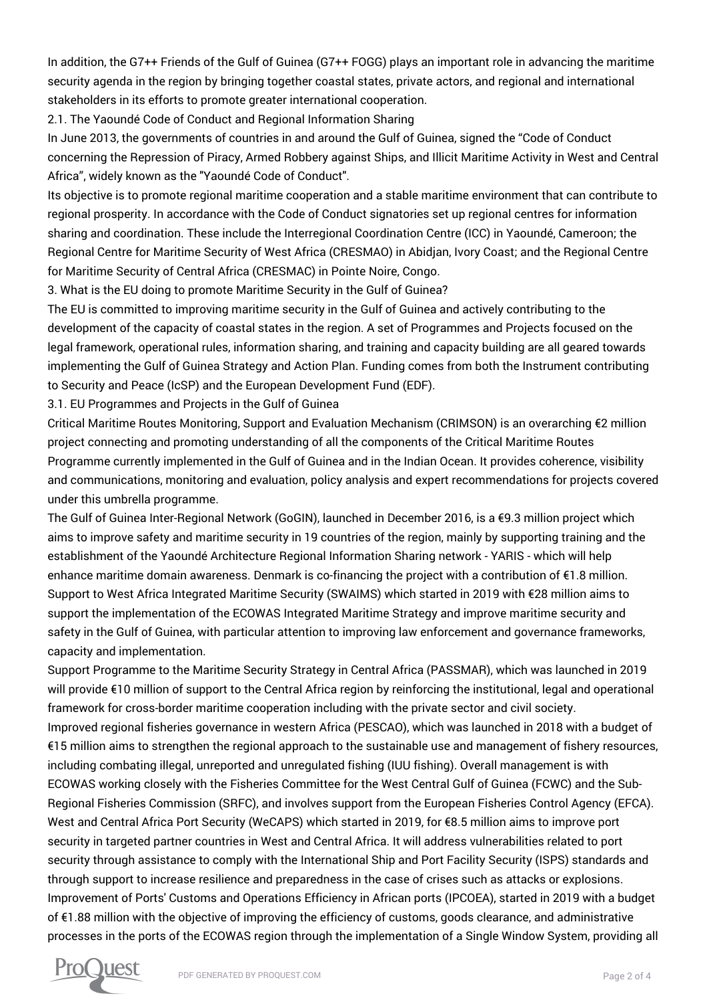In addition, the G7++ Friends of the Gulf of Guinea (G7++ FOGG) plays an important role in advancing the maritime security agenda in the region by bringing together coastal states, private actors, and regional and international stakeholders in its efforts to promote greater international cooperation.

2.1. The Yaoundé Code of Conduct and Regional Information Sharing

In June 2013, the governments of countries in and around the Gulf of Guinea, signed the "Code of Conduct concerning the Repression of Piracy, Armed Robbery against Ships, and Illicit Maritime Activity in West and Central Africa", widely known as the "Yaoundé Code of Conduct".

Its objective is to promote regional maritime cooperation and a stable maritime environment that can contribute to regional prosperity. In accordance with the Code of Conduct signatories set up regional centres for information sharing and coordination. These include the Interregional Coordination Centre (ICC) in Yaoundé, Cameroon; the Regional Centre for Maritime Security of West Africa (CRESMAO) in Abidjan, Ivory Coast; and the Regional Centre for Maritime Security of Central Africa (CRESMAC) in Pointe Noire, Congo.

3. What is the EU doing to promote Maritime Security in the Gulf of Guinea?

The EU is committed to improving maritime security in the Gulf of Guinea and actively contributing to the development of the capacity of coastal states in the region. A set of Programmes and Projects focused on the legal framework, operational rules, information sharing, and training and capacity building are all geared towards implementing the Gulf of Guinea Strategy and Action Plan. Funding comes from both the Instrument contributing to Security and Peace (IcSP) and the European Development Fund (EDF).

3.1. EU Programmes and Projects in the Gulf of Guinea

Critical Maritime Routes Monitoring, Support and Evaluation Mechanism (CRIMSON) is an overarching €2 million project connecting and promoting understanding of all the components of the Critical Maritime Routes Programme currently implemented in the Gulf of Guinea and in the Indian Ocean. It provides coherence, visibility and communications, monitoring and evaluation, policy analysis and expert recommendations for projects covered under this umbrella programme.

The Gulf of Guinea Inter-Regional Network (GoGIN), launched in December 2016, is a €9.3 million project which aims to improve safety and maritime security in 19 countries of the region, mainly by supporting training and the establishment of the Yaoundé Architecture Regional Information Sharing network - YARIS - which will help enhance maritime domain awareness. Denmark is co-financing the project with a contribution of €1.8 million. Support to West Africa Integrated Maritime Security (SWAIMS) which started in 2019 with €28 million aims to support the implementation of the ECOWAS Integrated Maritime Strategy and improve maritime security and safety in the Gulf of Guinea, with particular attention to improving law enforcement and governance frameworks, capacity and implementation.

Support Programme to the Maritime Security Strategy in Central Africa (PASSMAR), which was launched in 2019 will provide €10 million of support to the Central Africa region by reinforcing the institutional, legal and operational framework for cross-border maritime cooperation including with the private sector and civil society. Improved regional fisheries governance in western Africa (PESCAO), which was launched in 2018 with a budget of €15 million aims to strengthen the regional approach to the sustainable use and management of fishery resources, including combating illegal, unreported and unregulated fishing (IUU fishing). Overall management is with ECOWAS working closely with the Fisheries Committee for the West Central Gulf of Guinea (FCWC) and the Sub-Regional Fisheries Commission (SRFC), and involves support from the European Fisheries Control Agency (EFCA). West and Central Africa Port Security (WeCAPS) which started in 2019, for €8.5 million aims to improve port security in targeted partner countries in West and Central Africa. It will address vulnerabilities related to port security through assistance to comply with the International Ship and Port Facility Security (ISPS) standards and through support to increase resilience and preparedness in the case of crises such as attacks or explosions. Improvement of Ports' Customs and Operations Efficiency in African ports (IPCOEA), started in 2019 with a budget of €1.88 million with the objective of improving the efficiency of customs, goods clearance, and administrative processes in the ports of the ECOWAS region through the implementation of a Single Window System, providing all

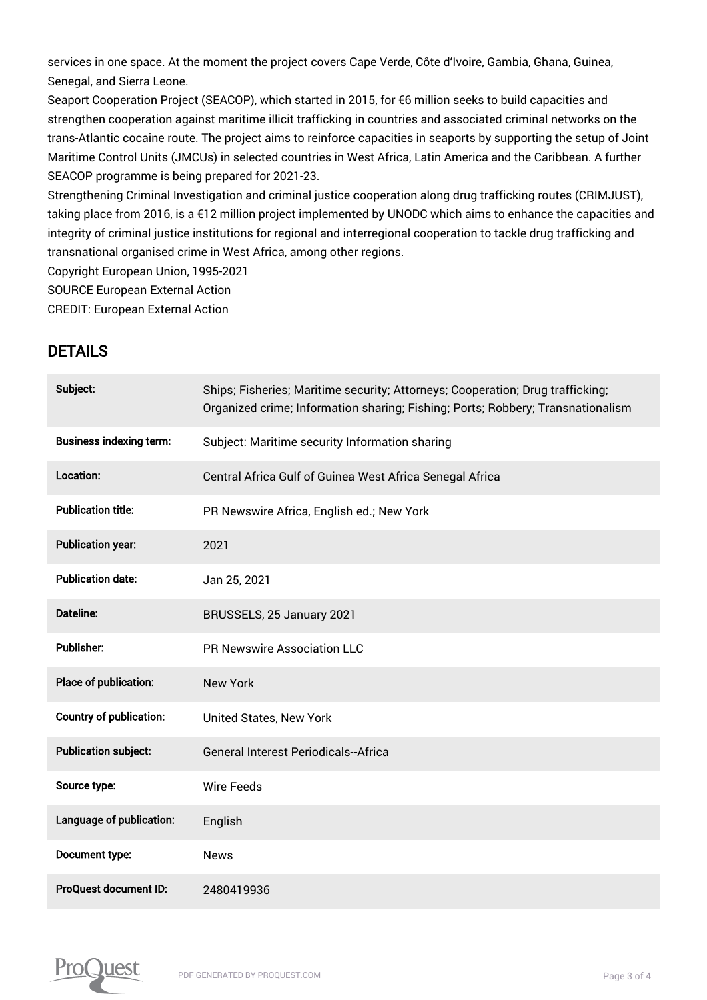services in one space. At the moment the project covers Cape Verde, Côte d'Ivoire, Gambia, Ghana, Guinea, Senegal, and Sierra Leone.

Seaport Cooperation Project (SEACOP), which started in 2015, for €6 million seeks to build capacities and strengthen cooperation against maritime illicit trafficking in countries and associated criminal networks on the trans-Atlantic cocaine route. The project aims to reinforce capacities in seaports by supporting the setup of Joint Maritime Control Units (JMCUs) in selected countries in West Africa, Latin America and the Caribbean. A further SEACOP programme is being prepared for 2021-23.

Strengthening Criminal Investigation and criminal justice cooperation along drug trafficking routes (CRIMJUST), taking place from 2016, is a €12 million project implemented by UNODC which aims to enhance the capacities and integrity of criminal justice institutions for regional and interregional cooperation to tackle drug trafficking and transnational organised crime in West Africa, among other regions.

Copyright European Union, 1995-2021

SOURCE European External Action

CREDIT: European External Action

### DETAILS

| Subject:                       | Ships; Fisheries; Maritime security; Attorneys; Cooperation; Drug trafficking;<br>Organized crime; Information sharing; Fishing; Ports; Robbery; Transnationalism |
|--------------------------------|-------------------------------------------------------------------------------------------------------------------------------------------------------------------|
| <b>Business indexing term:</b> | Subject: Maritime security Information sharing                                                                                                                    |
| Location:                      | Central Africa Gulf of Guinea West Africa Senegal Africa                                                                                                          |
| <b>Publication title:</b>      | PR Newswire Africa, English ed.; New York                                                                                                                         |
| <b>Publication year:</b>       | 2021                                                                                                                                                              |
| <b>Publication date:</b>       | Jan 25, 2021                                                                                                                                                      |
| Dateline:                      | BRUSSELS, 25 January 2021                                                                                                                                         |
| <b>Publisher:</b>              | <b>PR Newswire Association LLC</b>                                                                                                                                |
| Place of publication:          | <b>New York</b>                                                                                                                                                   |
| <b>Country of publication:</b> | United States, New York                                                                                                                                           |
| <b>Publication subject:</b>    | <b>General Interest Periodicals--Africa</b>                                                                                                                       |
| Source type:                   | <b>Wire Feeds</b>                                                                                                                                                 |
| Language of publication:       | English                                                                                                                                                           |
| Document type:                 | <b>News</b>                                                                                                                                                       |
| ProQuest document ID:          | 2480419936                                                                                                                                                        |